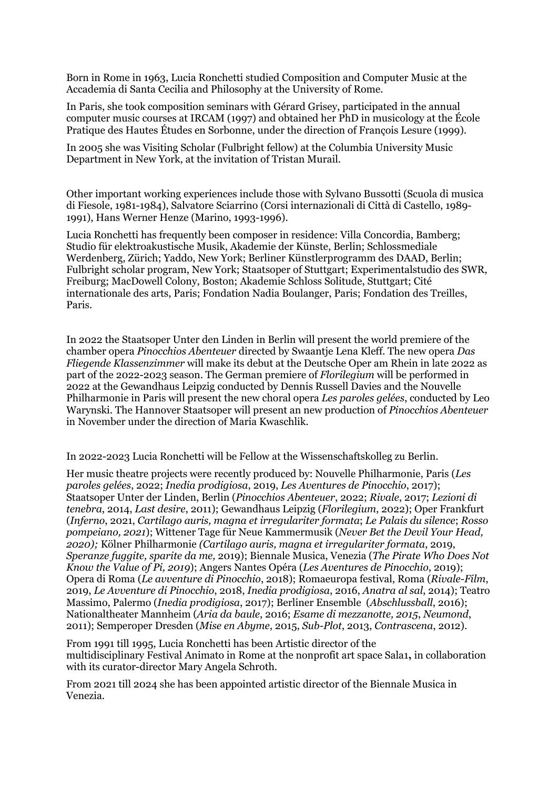Born in Rome in 1963, Lucia Ronchetti studied Composition and Computer Music at the Accademia di Santa Cecilia and Philosophy at the University of Rome.

In Paris, she took composition seminars with Gérard Grisey, participated in the annual computer music courses at IRCAM (1997) and obtained her PhD in musicology at the École Pratique des Hautes Études en Sorbonne, under the direction of François Lesure (1999).

In 2005 she was Visiting Scholar (Fulbright fellow) at the Columbia University Music Department in New York, at the invitation of Tristan Murail.

Other important working experiences include those with Sylvano Bussotti (Scuola di musica di Fiesole, 1981-1984), Salvatore Sciarrino (Corsi internazionali di Città di Castello, 1989- 1991), Hans Werner Henze (Marino, 1993-1996).

Lucia Ronchetti has frequently been composer in residence: Villa Concordia, Bamberg; Studio für elektroakustische Musik, Akademie der Künste, Berlin; Schlossmediale Werdenberg, Zürich; Yaddo, New York; Berliner Künstlerprogramm des DAAD, Berlin; Fulbright scholar program, New York; Staatsoper of Stuttgart; Experimentalstudio des SWR, Freiburg; MacDowell Colony, Boston; Akademie Schloss Solitude, Stuttgart; Cité internationale des arts, Paris; Fondation Nadia Boulanger, Paris; Fondation des Treilles, Paris.

In 2022 the Staatsoper Unter den Linden in Berlin will present the world premiere of the chamber opera *Pinocchios Abenteuer* directed by Swaantje Lena Kleff. The new opera *Das Fliegende Klassenzimmer* will make its debut at the Deutsche Oper am Rhein in late 2022 as part of the 2022-2023 season. The German premiere of *Florilegium* will be performed in 2022 at the Gewandhaus Leipzig conducted by Dennis Russell Davies and the Nouvelle Philharmonie in Paris will present the new choral opera *Les paroles gelées*, conducted by Leo Warynski. The Hannover Staatsoper will present an new production of *Pinocchios Abenteuer* in November under the direction of Maria Kwaschlik.

In 2022-2023 Lucia Ronchetti will be Fellow at the Wissenschaftskolleg zu Berlin.

Her music theatre projects were recently produced by: Nouvelle Philharmonie, Paris (*Les paroles gelées*, 2022; *Inedia prodigiosa*, 2019, *Les Aventures de Pinocchio*, 2017); Staatsoper Unter der Linden, Berlin (*Pinocchios Abenteuer*, 2022; *Rivale*, 2017; *Lezioni di tenebra*, 2014, *Last desire*, 2011); Gewandhaus Leipzig (*Florilegium*, 2022); Oper Frankfurt (*Inferno*, 2021, *Cartilago auris, magna et irregulariter formata*; *Le Palais du silence*; *Rosso pompeiano, 2021*); Wittener Tage für Neue Kammermusik (*Never Bet the Devil Your Head, 2020);* Kölner Philharmonie *(Cartilago auris, magna et irregulariter formata*, 2019, *Speranze fuggite, sparite da me,* 2019); Biennale Musica, Venezia (*The Pirate Who Does Not Know the Value of Pi, 2019*); Angers Nantes Opéra (*Les Aventures de Pinocchio*, 2019); Opera di Roma (*Le avventure di Pinocchio*, 2018); Romaeuropa festival, Roma (*Rivale-Film*, 2019, *Le Avventure di Pinocchio*, 2018, *Inedia prodigiosa*, 2016, *Anatra al sal*, 2014); Teatro Massimo, Palermo (*Inedia prodigiosa*, 2017); Berliner Ensemble (*Abschlussball*, 2016); Nationaltheater Mannheim (*Aria da baule*, 2016; *Esame di mezzanotte, 2015*, *Neumond*, 2011); Semperoper Dresden (*Mise en Abyme*, 2015, *Sub-Plot*, 2013, *Contrascena*, 2012).

From 1991 till 1995, Lucia Ronchetti has been Artistic director of the multidisciplinary Festival Animato in Rome at the nonprofit art space Sala1**,** in collaboration with its curator-director Mary Angela Schroth.

From 2021 till 2024 she has been appointed artistic director of the Biennale Musica in Venezia.